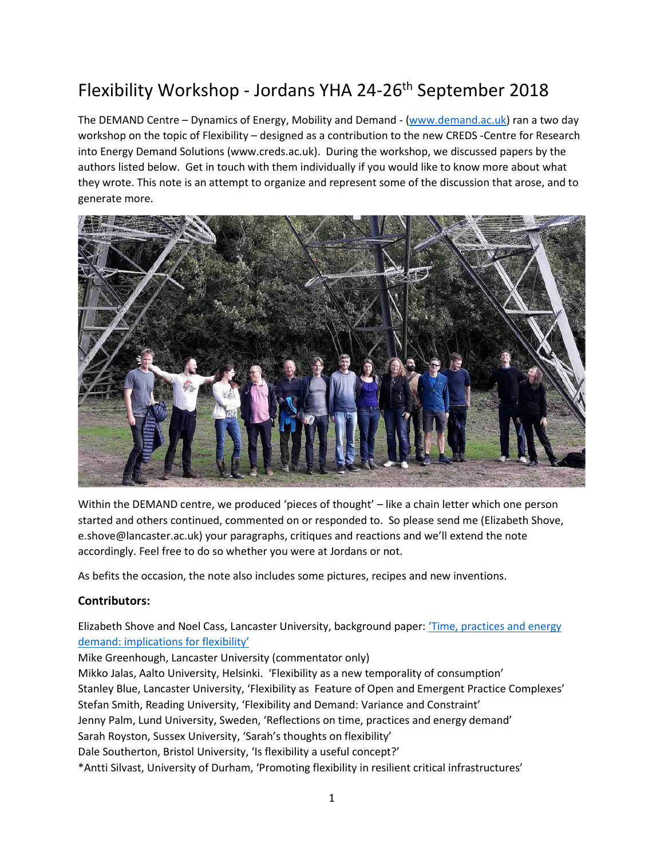# Flexibility Workshop - Jordans YHA 24-26th September 2018

The DEMAND Centre – Dynamics of Energy, Mobility and Demand - [\(www.demand.ac.uk\)](http://www.demand.ac.uk/) ran a two day workshop on the topic of Flexibility – designed as a contribution to the new CREDS -Centre for Research into Energy Demand Solutions (www.creds.ac.uk). During the workshop, we discussed papers by the authors listed below. Get in touch with them individually if you would like to know more about what they wrote. This note is an attempt to organize and represent some of the discussion that arose, and to generate more.



Within the DEMAND centre, we produced 'pieces of thought' – like a chain letter which one person started and others continued, commented on or responded to. So please send me (Elizabeth Shove, e.shove@lancaster.ac.uk) your paragraphs, critiques and reactions and we'll extend the note accordingly. Feel free to do so whether you were at Jordans or not.

As befits the occasion, the note also includes some pictures, recipes and new inventions.

#### **Contributors:**

Elizabeth Shove and Noel Cass, Lancaster University, background paper: 'Time, practices and energy [demand: implications for flexibility'](http://www.demand.ac.uk/wp-content/uploads/2018/06/Time-practices-and-energy-demand-final-1.pdf)

Mike Greenhough, Lancaster University (commentator only) Mikko Jalas, Aalto University, Helsinki. 'Flexibility as a new temporality of consumption' Stanley Blue, Lancaster University, 'Flexibility as Feature of Open and Emergent Practice Complexes' Stefan Smith, Reading University, 'Flexibility and Demand: Variance and Constraint' Jenny Palm, Lund University, Sweden, 'Reflections on time, practices and energy demand' Sarah Royston, Sussex University, 'Sarah's thoughts on flexibility' Dale Southerton, Bristol University, 'Is flexibility a useful concept?' \*Antti Silvast, University of Durham, 'Promoting flexibility in resilient critical infrastructures'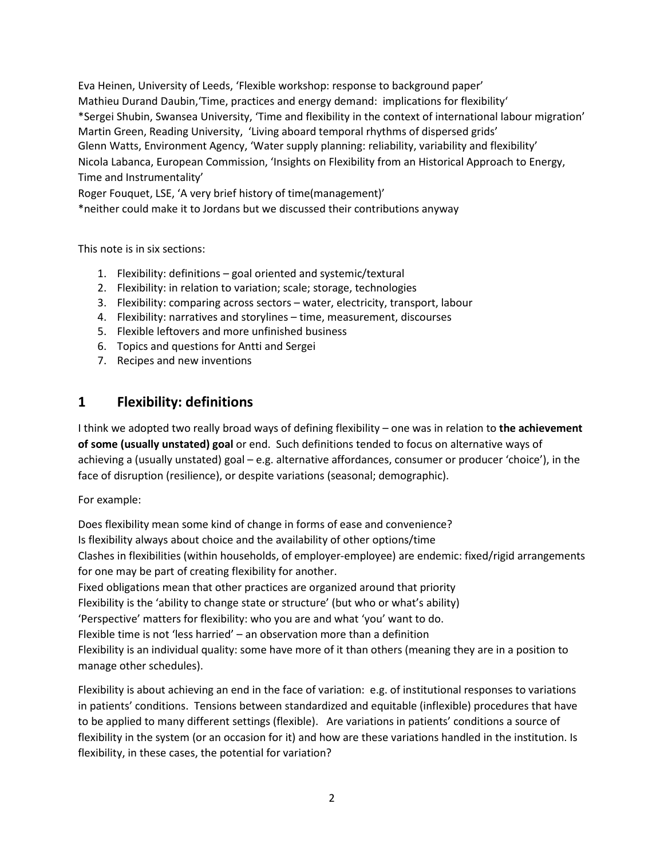Eva Heinen, University of Leeds, 'Flexible workshop: response to background paper' Mathieu Durand Daubin,'Time, practices and energy demand: implications for flexibility' \*Sergei Shubin, Swansea University, 'Time and flexibility in the context of international labour migration' Martin Green, Reading University, 'Living aboard temporal rhythms of dispersed grids' Glenn Watts, Environment Agency, 'Water supply planning: reliability, variability and flexibility' Nicola Labanca, European Commission, 'Insights on Flexibility from an Historical Approach to Energy, Time and Instrumentality'

Roger Fouquet, LSE, 'A very brief history of time(management)'

\*neither could make it to Jordans but we discussed their contributions anyway

This note is in six sections:

- 1. Flexibility: definitions goal oriented and systemic/textural
- 2. Flexibility: in relation to variation; scale; storage, technologies
- 3. Flexibility: comparing across sectors water, electricity, transport, labour
- 4. Flexibility: narratives and storylines time, measurement, discourses
- 5. Flexible leftovers and more unfinished business
- 6. Topics and questions for Antti and Sergei
- 7. Recipes and new inventions

## **1 Flexibility: definitions**

I think we adopted two really broad ways of defining flexibility – one was in relation to **the achievement of some (usually unstated) goal** or end. Such definitions tended to focus on alternative ways of achieving a (usually unstated) goal – e.g. alternative affordances, consumer or producer 'choice'), in the face of disruption (resilience), or despite variations (seasonal; demographic).

For example:

Does flexibility mean some kind of change in forms of ease and convenience? Is flexibility always about choice and the availability of other options/time Clashes in flexibilities (within households, of employer-employee) are endemic: fixed/rigid arrangements for one may be part of creating flexibility for another. Fixed obligations mean that other practices are organized around that priority Flexibility is the 'ability to change state or structure' (but who or what's ability) 'Perspective' matters for flexibility: who you are and what 'you' want to do. Flexible time is not 'less harried' – an observation more than a definition Flexibility is an individual quality: some have more of it than others (meaning they are in a position to manage other schedules).

Flexibility is about achieving an end in the face of variation: e.g. of institutional responses to variations in patients' conditions. Tensions between standardized and equitable (inflexible) procedures that have to be applied to many different settings (flexible). Are variations in patients' conditions a source of flexibility in the system (or an occasion for it) and how are these variations handled in the institution. Is flexibility, in these cases, the potential for variation?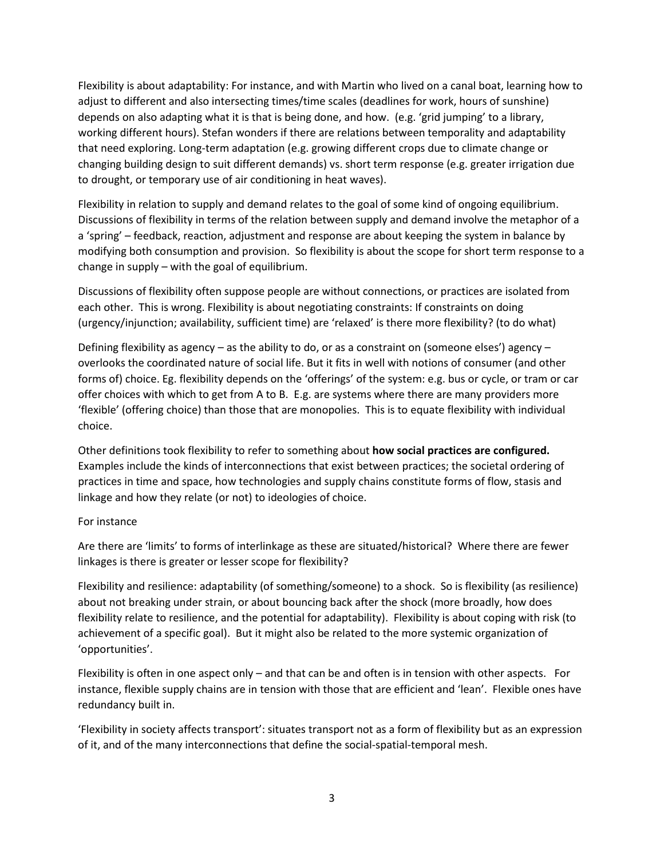Flexibility is about adaptability: For instance, and with Martin who lived on a canal boat, learning how to adjust to different and also intersecting times/time scales (deadlines for work, hours of sunshine) depends on also adapting what it is that is being done, and how. (e.g. 'grid jumping' to a library, working different hours). Stefan wonders if there are relations between temporality and adaptability that need exploring. Long-term adaptation (e.g. growing different crops due to climate change or changing building design to suit different demands) vs. short term response (e.g. greater irrigation due to drought, or temporary use of air conditioning in heat waves).

Flexibility in relation to supply and demand relates to the goal of some kind of ongoing equilibrium. Discussions of flexibility in terms of the relation between supply and demand involve the metaphor of a a 'spring' – feedback, reaction, adjustment and response are about keeping the system in balance by modifying both consumption and provision. So flexibility is about the scope for short term response to a change in supply – with the goal of equilibrium.

Discussions of flexibility often suppose people are without connections, or practices are isolated from each other. This is wrong. Flexibility is about negotiating constraints: If constraints on doing (urgency/injunction; availability, sufficient time) are 'relaxed' is there more flexibility? (to do what)

Defining flexibility as agency – as the ability to do, or as a constraint on (someone elses') agency – overlooks the coordinated nature of social life. But it fits in well with notions of consumer (and other forms of) choice. Eg. flexibility depends on the 'offerings' of the system: e.g. bus or cycle, or tram or car offer choices with which to get from A to B. E.g. are systems where there are many providers more 'flexible' (offering choice) than those that are monopolies. This is to equate flexibility with individual choice.

Other definitions took flexibility to refer to something about **how social practices are configured.**  Examples include the kinds of interconnections that exist between practices; the societal ordering of practices in time and space, how technologies and supply chains constitute forms of flow, stasis and linkage and how they relate (or not) to ideologies of choice.

#### For instance

Are there are 'limits' to forms of interlinkage as these are situated/historical? Where there are fewer linkages is there is greater or lesser scope for flexibility?

Flexibility and resilience: adaptability (of something/someone) to a shock. So is flexibility (as resilience) about not breaking under strain, or about bouncing back after the shock (more broadly, how does flexibility relate to resilience, and the potential for adaptability). Flexibility is about coping with risk (to achievement of a specific goal). But it might also be related to the more systemic organization of 'opportunities'.

Flexibility is often in one aspect only – and that can be and often is in tension with other aspects. For instance, flexible supply chains are in tension with those that are efficient and 'lean'. Flexible ones have redundancy built in.

'Flexibility in society affects transport': situates transport not as a form of flexibility but as an expression of it, and of the many interconnections that define the social-spatial-temporal mesh.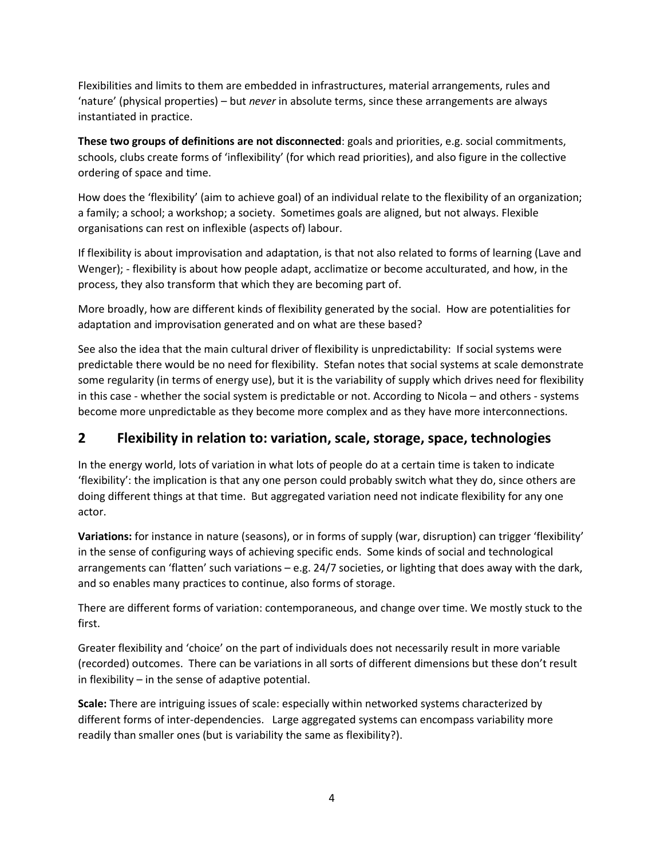Flexibilities and limits to them are embedded in infrastructures, material arrangements, rules and 'nature' (physical properties) – but *never* in absolute terms, since these arrangements are always instantiated in practice.

**These two groups of definitions are not disconnected**: goals and priorities, e.g. social commitments, schools, clubs create forms of 'inflexibility' (for which read priorities), and also figure in the collective ordering of space and time.

How does the 'flexibility' (aim to achieve goal) of an individual relate to the flexibility of an organization; a family; a school; a workshop; a society. Sometimes goals are aligned, but not always. Flexible organisations can rest on inflexible (aspects of) labour.

If flexibility is about improvisation and adaptation, is that not also related to forms of learning (Lave and Wenger); - flexibility is about how people adapt, acclimatize or become acculturated, and how, in the process, they also transform that which they are becoming part of.

More broadly, how are different kinds of flexibility generated by the social. How are potentialities for adaptation and improvisation generated and on what are these based?

See also the idea that the main cultural driver of flexibility is unpredictability: If social systems were predictable there would be no need for flexibility. Stefan notes that social systems at scale demonstrate some regularity (in terms of energy use), but it is the variability of supply which drives need for flexibility in this case - whether the social system is predictable or not. According to Nicola – and others - systems become more unpredictable as they become more complex and as they have more interconnections.

# **2 Flexibility in relation to: variation, scale, storage, space, technologies**

In the energy world, lots of variation in what lots of people do at a certain time is taken to indicate 'flexibility': the implication is that any one person could probably switch what they do, since others are doing different things at that time. But aggregated variation need not indicate flexibility for any one actor.

**Variations:** for instance in nature (seasons), or in forms of supply (war, disruption) can trigger 'flexibility' in the sense of configuring ways of achieving specific ends. Some kinds of social and technological arrangements can 'flatten' such variations – e.g. 24/7 societies, or lighting that does away with the dark, and so enables many practices to continue, also forms of storage.

There are different forms of variation: contemporaneous, and change over time. We mostly stuck to the first.

Greater flexibility and 'choice' on the part of individuals does not necessarily result in more variable (recorded) outcomes. There can be variations in all sorts of different dimensions but these don't result in flexibility – in the sense of adaptive potential.

**Scale:** There are intriguing issues of scale: especially within networked systems characterized by different forms of inter-dependencies. Large aggregated systems can encompass variability more readily than smaller ones (but is variability the same as flexibility?).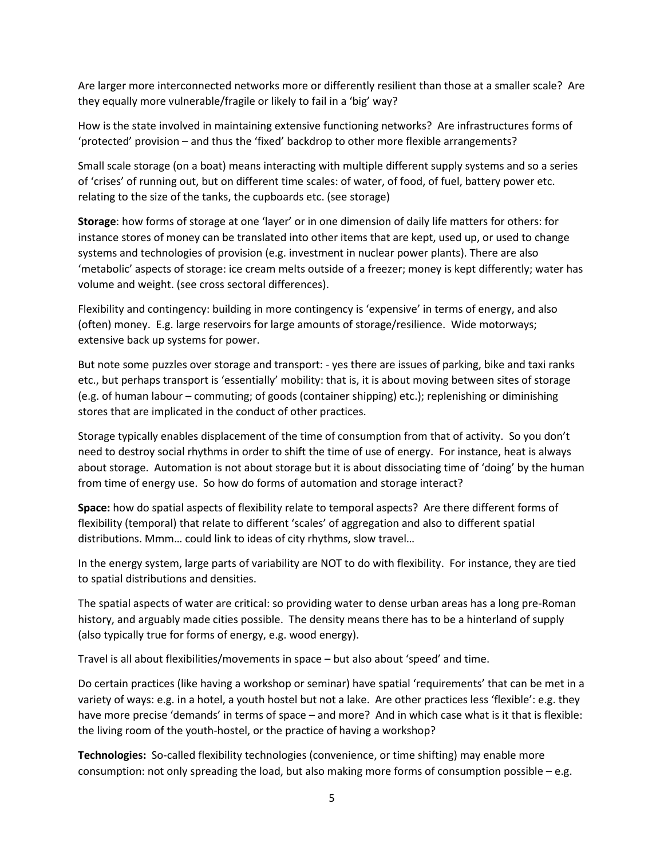Are larger more interconnected networks more or differently resilient than those at a smaller scale? Are they equally more vulnerable/fragile or likely to fail in a 'big' way?

How is the state involved in maintaining extensive functioning networks? Are infrastructures forms of 'protected' provision – and thus the 'fixed' backdrop to other more flexible arrangements?

Small scale storage (on a boat) means interacting with multiple different supply systems and so a series of 'crises' of running out, but on different time scales: of water, of food, of fuel, battery power etc. relating to the size of the tanks, the cupboards etc. (see storage)

**Storage**: how forms of storage at one 'layer' or in one dimension of daily life matters for others: for instance stores of money can be translated into other items that are kept, used up, or used to change systems and technologies of provision (e.g. investment in nuclear power plants). There are also 'metabolic' aspects of storage: ice cream melts outside of a freezer; money is kept differently; water has volume and weight. (see cross sectoral differences).

Flexibility and contingency: building in more contingency is 'expensive' in terms of energy, and also (often) money. E.g. large reservoirs for large amounts of storage/resilience. Wide motorways; extensive back up systems for power.

But note some puzzles over storage and transport: - yes there are issues of parking, bike and taxi ranks etc., but perhaps transport is 'essentially' mobility: that is, it is about moving between sites of storage (e.g. of human labour – commuting; of goods (container shipping) etc.); replenishing or diminishing stores that are implicated in the conduct of other practices.

Storage typically enables displacement of the time of consumption from that of activity. So you don't need to destroy social rhythms in order to shift the time of use of energy. For instance, heat is always about storage. Automation is not about storage but it is about dissociating time of 'doing' by the human from time of energy use. So how do forms of automation and storage interact?

**Space:** how do spatial aspects of flexibility relate to temporal aspects? Are there different forms of flexibility (temporal) that relate to different 'scales' of aggregation and also to different spatial distributions. Mmm… could link to ideas of city rhythms, slow travel…

In the energy system, large parts of variability are NOT to do with flexibility. For instance, they are tied to spatial distributions and densities.

The spatial aspects of water are critical: so providing water to dense urban areas has a long pre-Roman history, and arguably made cities possible. The density means there has to be a hinterland of supply (also typically true for forms of energy, e.g. wood energy).

Travel is all about flexibilities/movements in space – but also about 'speed' and time.

Do certain practices (like having a workshop or seminar) have spatial 'requirements' that can be met in a variety of ways: e.g. in a hotel, a youth hostel but not a lake. Are other practices less 'flexible': e.g. they have more precise 'demands' in terms of space – and more? And in which case what is it that is flexible: the living room of the youth-hostel, or the practice of having a workshop?

**Technologies:** So-called flexibility technologies (convenience, or time shifting) may enable more consumption: not only spreading the load, but also making more forms of consumption possible – e.g.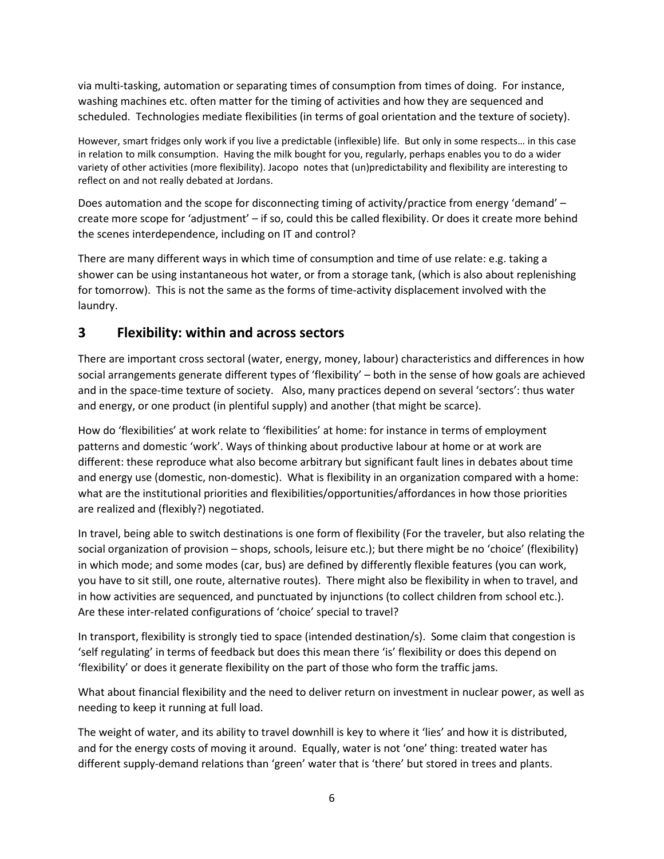via multi-tasking, automation or separating times of consumption from times of doing. For instance, washing machines etc. often matter for the timing of activities and how they are sequenced and scheduled. Technologies mediate flexibilities (in terms of goal orientation and the texture of society).

However, smart fridges only work if you live a predictable (inflexible) life. But only in some respects… in this case in relation to milk consumption. Having the milk bought for you, regularly, perhaps enables you to do a wider variety of other activities (more flexibility). Jacopo notes that (un)predictability and flexibility are interesting to reflect on and not really debated at Jordans.

Does automation and the scope for disconnecting timing of activity/practice from energy 'demand' – create more scope for 'adjustment' – if so, could this be called flexibility. Or does it create more behind the scenes interdependence, including on IT and control?

There are many different ways in which time of consumption and time of use relate: e.g. taking a shower can be using instantaneous hot water, or from a storage tank, (which is also about replenishing for tomorrow). This is not the same as the forms of time-activity displacement involved with the laundry.

# **3 Flexibility: within and across sectors**

There are important cross sectoral (water, energy, money, labour) characteristics and differences in how social arrangements generate different types of 'flexibility' – both in the sense of how goals are achieved and in the space-time texture of society. Also, many practices depend on several 'sectors': thus water and energy, or one product (in plentiful supply) and another (that might be scarce).

How do 'flexibilities' at work relate to 'flexibilities' at home: for instance in terms of employment patterns and domestic 'work'. Ways of thinking about productive labour at home or at work are different: these reproduce what also become arbitrary but significant fault lines in debates about time and energy use (domestic, non-domestic). What is flexibility in an organization compared with a home: what are the institutional priorities and flexibilities/opportunities/affordances in how those priorities are realized and (flexibly?) negotiated.

In travel, being able to switch destinations is one form of flexibility (For the traveler, but also relating the social organization of provision – shops, schools, leisure etc.); but there might be no 'choice' (flexibility) in which mode; and some modes (car, bus) are defined by differently flexible features (you can work, you have to sit still, one route, alternative routes). There might also be flexibility in when to travel, and in how activities are sequenced, and punctuated by injunctions (to collect children from school etc.). Are these inter-related configurations of 'choice' special to travel?

In transport, flexibility is strongly tied to space (intended destination/s). Some claim that congestion is 'self regulating' in terms of feedback but does this mean there 'is' flexibility or does this depend on 'flexibility' or does it generate flexibility on the part of those who form the traffic jams.

What about financial flexibility and the need to deliver return on investment in nuclear power, as well as needing to keep it running at full load.

The weight of water, and its ability to travel downhill is key to where it 'lies' and how it is distributed, and for the energy costs of moving it around. Equally, water is not 'one' thing: treated water has different supply-demand relations than 'green' water that is 'there' but stored in trees and plants.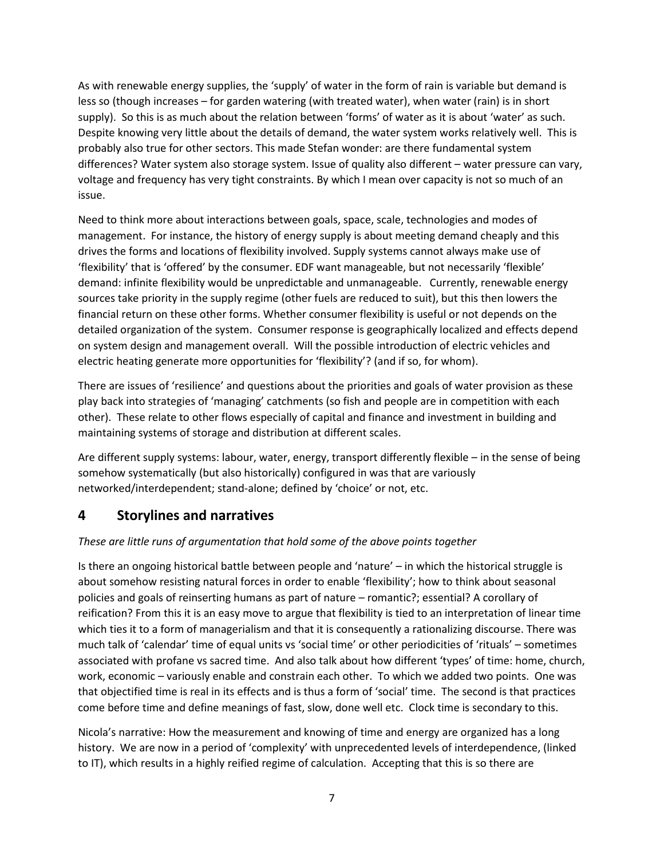As with renewable energy supplies, the 'supply' of water in the form of rain is variable but demand is less so (though increases – for garden watering (with treated water), when water (rain) is in short supply). So this is as much about the relation between 'forms' of water as it is about 'water' as such. Despite knowing very little about the details of demand, the water system works relatively well. This is probably also true for other sectors. This made Stefan wonder: are there fundamental system differences? Water system also storage system. Issue of quality also different – water pressure can vary, voltage and frequency has very tight constraints. By which I mean over capacity is not so much of an issue.

Need to think more about interactions between goals, space, scale, technologies and modes of management. For instance, the history of energy supply is about meeting demand cheaply and this drives the forms and locations of flexibility involved. Supply systems cannot always make use of 'flexibility' that is 'offered' by the consumer. EDF want manageable, but not necessarily 'flexible' demand: infinite flexibility would be unpredictable and unmanageable. Currently, renewable energy sources take priority in the supply regime (other fuels are reduced to suit), but this then lowers the financial return on these other forms. Whether consumer flexibility is useful or not depends on the detailed organization of the system. Consumer response is geographically localized and effects depend on system design and management overall. Will the possible introduction of electric vehicles and electric heating generate more opportunities for 'flexibility'? (and if so, for whom).

There are issues of 'resilience' and questions about the priorities and goals of water provision as these play back into strategies of 'managing' catchments (so fish and people are in competition with each other). These relate to other flows especially of capital and finance and investment in building and maintaining systems of storage and distribution at different scales.

Are different supply systems: labour, water, energy, transport differently flexible – in the sense of being somehow systematically (but also historically) configured in was that are variously networked/interdependent; stand-alone; defined by 'choice' or not, etc.

### **4 Storylines and narratives**

#### *These are little runs of argumentation that hold some of the above points together*

Is there an ongoing historical battle between people and 'nature' – in which the historical struggle is about somehow resisting natural forces in order to enable 'flexibility'; how to think about seasonal policies and goals of reinserting humans as part of nature – romantic?; essential? A corollary of reification? From this it is an easy move to argue that flexibility is tied to an interpretation of linear time which ties it to a form of managerialism and that it is consequently a rationalizing discourse. There was much talk of 'calendar' time of equal units vs 'social time' or other periodicities of 'rituals' – sometimes associated with profane vs sacred time. And also talk about how different 'types' of time: home, church, work, economic – variously enable and constrain each other. To which we added two points. One was that objectified time is real in its effects and is thus a form of 'social' time. The second is that practices come before time and define meanings of fast, slow, done well etc. Clock time is secondary to this.

Nicola's narrative: How the measurement and knowing of time and energy are organized has a long history. We are now in a period of 'complexity' with unprecedented levels of interdependence, (linked to IT), which results in a highly reified regime of calculation. Accepting that this is so there are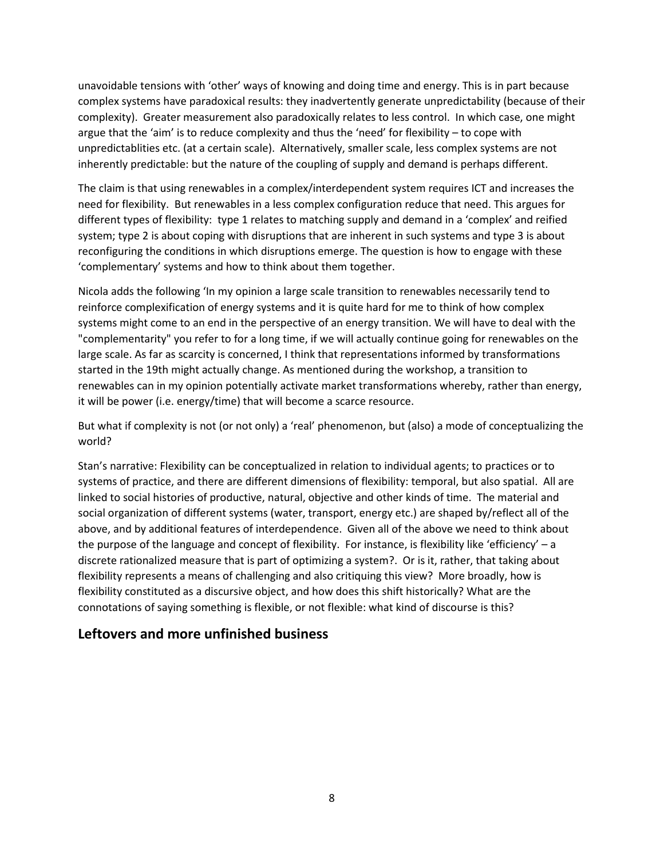unavoidable tensions with 'other' ways of knowing and doing time and energy. This is in part because complex systems have paradoxical results: they inadvertently generate unpredictability (because of their complexity). Greater measurement also paradoxically relates to less control. In which case, one might argue that the 'aim' is to reduce complexity and thus the 'need' for flexibility – to cope with unpredictablities etc. (at a certain scale). Alternatively, smaller scale, less complex systems are not inherently predictable: but the nature of the coupling of supply and demand is perhaps different.

The claim is that using renewables in a complex/interdependent system requires ICT and increases the need for flexibility. But renewables in a less complex configuration reduce that need. This argues for different types of flexibility: type 1 relates to matching supply and demand in a 'complex' and reified system; type 2 is about coping with disruptions that are inherent in such systems and type 3 is about reconfiguring the conditions in which disruptions emerge. The question is how to engage with these 'complementary' systems and how to think about them together.

Nicola adds the following 'In my opinion a large scale transition to renewables necessarily tend to reinforce complexification of energy systems and it is quite hard for me to think of how complex systems might come to an end in the perspective of an energy transition. We will have to deal with the "complementarity" you refer to for a long time, if we will actually continue going for renewables on the large scale. As far as scarcity is concerned, I think that representations informed by transformations started in the 19th might actually change. As mentioned during the workshop, a transition to renewables can in my opinion potentially activate market transformations whereby, rather than energy, it will be power (i.e. energy/time) that will become a scarce resource.

But what if complexity is not (or not only) a 'real' phenomenon, but (also) a mode of conceptualizing the world?

Stan's narrative: Flexibility can be conceptualized in relation to individual agents; to practices or to systems of practice, and there are different dimensions of flexibility: temporal, but also spatial. All are linked to social histories of productive, natural, objective and other kinds of time. The material and social organization of different systems (water, transport, energy etc.) are shaped by/reflect all of the above, and by additional features of interdependence. Given all of the above we need to think about the purpose of the language and concept of flexibility. For instance, is flexibility like 'efficiency' – a discrete rationalized measure that is part of optimizing a system?. Or is it, rather, that taking about flexibility represents a means of challenging and also critiquing this view? More broadly, how is flexibility constituted as a discursive object, and how does this shift historically? What are the connotations of saying something is flexible, or not flexible: what kind of discourse is this?

### **Leftovers and more unfinished business**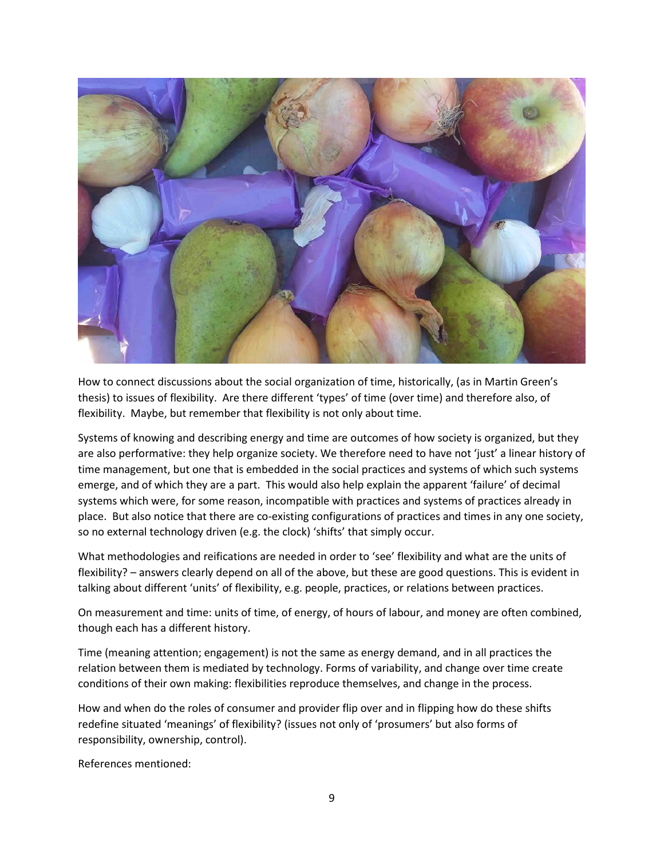

How to connect discussions about the social organization of time, historically, (as in Martin Green's thesis) to issues of flexibility. Are there different 'types' of time (over time) and therefore also, of flexibility. Maybe, but remember that flexibility is not only about time.

Systems of knowing and describing energy and time are outcomes of how society is organized, but they are also performative: they help organize society. We therefore need to have not 'just' a linear history of time management, but one that is embedded in the social practices and systems of which such systems emerge, and of which they are a part. This would also help explain the apparent 'failure' of decimal systems which were, for some reason, incompatible with practices and systems of practices already in place. But also notice that there are co-existing configurations of practices and times in any one society, so no external technology driven (e.g. the clock) 'shifts' that simply occur.

What methodologies and reifications are needed in order to 'see' flexibility and what are the units of flexibility? – answers clearly depend on all of the above, but these are good questions. This is evident in talking about different 'units' of flexibility, e.g. people, practices, or relations between practices.

On measurement and time: units of time, of energy, of hours of labour, and money are often combined, though each has a different history.

Time (meaning attention; engagement) is not the same as energy demand, and in all practices the relation between them is mediated by technology. Forms of variability, and change over time create conditions of their own making: flexibilities reproduce themselves, and change in the process.

How and when do the roles of consumer and provider flip over and in flipping how do these shifts redefine situated 'meanings' of flexibility? (issues not only of 'prosumers' but also forms of responsibility, ownership, control).

References mentioned: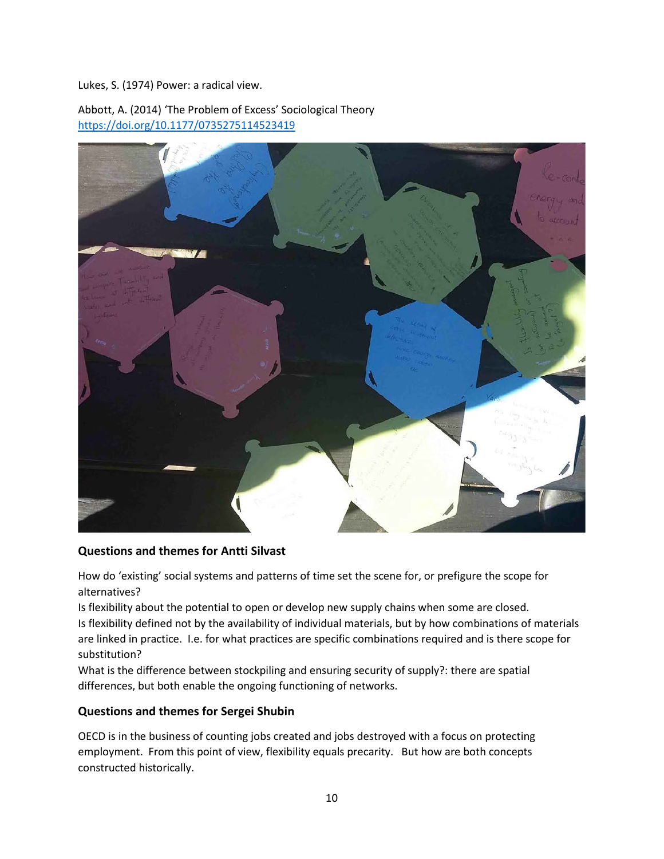Lukes, S. (1974) Power: a radical view.

Abbott, A. (2014) 'The Problem of Excess' Sociological Theory [https://doi.org/10.1177/0735275114523419](https://doi.org/10.1177%2F0735275114523419)



#### **Questions and themes for Antti Silvast**

How do 'existing' social systems and patterns of time set the scene for, or prefigure the scope for alternatives?

Is flexibility about the potential to open or develop new supply chains when some are closed. Is flexibility defined not by the availability of individual materials, but by how combinations of materials are linked in practice. I.e. for what practices are specific combinations required and is there scope for substitution?

What is the difference between stockpiling and ensuring security of supply?: there are spatial differences, but both enable the ongoing functioning of networks.

#### **Questions and themes for Sergei Shubin**

OECD is in the business of counting jobs created and jobs destroyed with a focus on protecting employment. From this point of view, flexibility equals precarity. But how are both concepts constructed historically.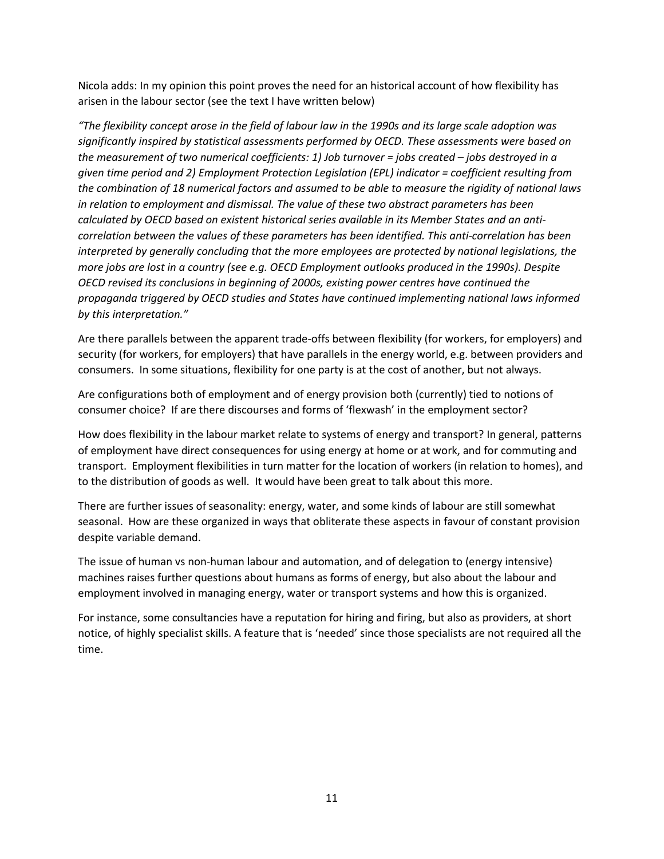Nicola adds: In my opinion this point proves the need for an historical account of how flexibility has arisen in the labour sector (see the text I have written below)

*"The flexibility concept arose in the field of labour law in the 1990s and its large scale adoption was significantly inspired by statistical assessments performed by OECD. These assessments were based on the measurement of two numerical coefficients: 1) Job turnover = jobs created – jobs destroyed in a given time period and 2) Employment Protection Legislation (EPL) indicator = coefficient resulting from the combination of 18 numerical factors and assumed to be able to measure the rigidity of national laws in relation to employment and dismissal. The value of these two abstract parameters has been calculated by OECD based on existent historical series available in its Member States and an anticorrelation between the values of these parameters has been identified. This anti-correlation has been interpreted by generally concluding that the more employees are protected by national legislations, the more jobs are lost in a country (see e.g. OECD Employment outlooks produced in the 1990s). Despite OECD revised its conclusions in beginning of 2000s, existing power centres have continued the propaganda triggered by OECD studies and States have continued implementing national laws informed by this interpretation."*

Are there parallels between the apparent trade-offs between flexibility (for workers, for employers) and security (for workers, for employers) that have parallels in the energy world, e.g. between providers and consumers. In some situations, flexibility for one party is at the cost of another, but not always.

Are configurations both of employment and of energy provision both (currently) tied to notions of consumer choice? If are there discourses and forms of 'flexwash' in the employment sector?

How does flexibility in the labour market relate to systems of energy and transport? In general, patterns of employment have direct consequences for using energy at home or at work, and for commuting and transport. Employment flexibilities in turn matter for the location of workers (in relation to homes), and to the distribution of goods as well. It would have been great to talk about this more.

There are further issues of seasonality: energy, water, and some kinds of labour are still somewhat seasonal. How are these organized in ways that obliterate these aspects in favour of constant provision despite variable demand.

The issue of human vs non-human labour and automation, and of delegation to (energy intensive) machines raises further questions about humans as forms of energy, but also about the labour and employment involved in managing energy, water or transport systems and how this is organized.

For instance, some consultancies have a reputation for hiring and firing, but also as providers, at short notice, of highly specialist skills. A feature that is 'needed' since those specialists are not required all the time.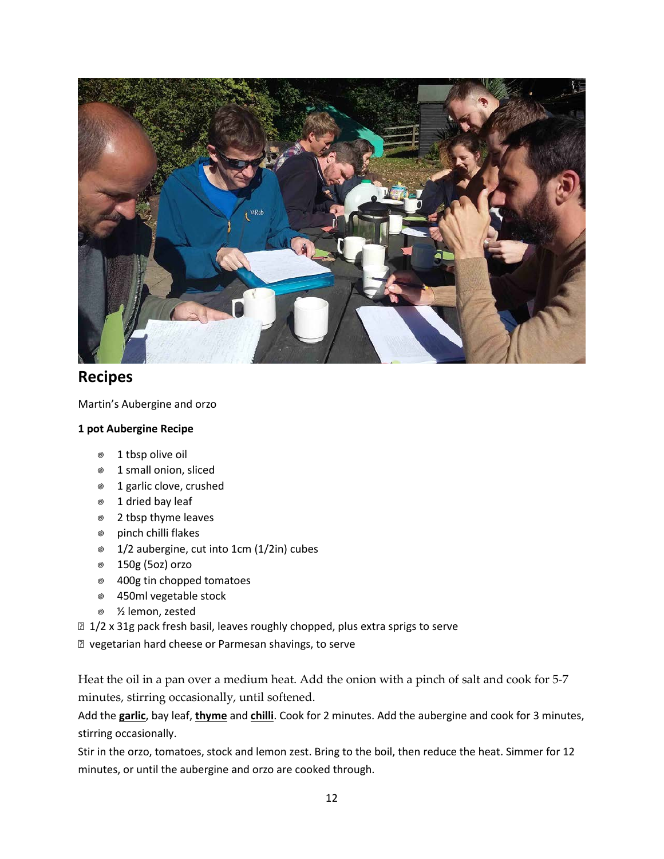

# **Recipes**

Martin's Aubergine and orzo

#### **1 pot Aubergine Recipe**

- 1 tbsp olive oil
- 1 small onion, sliced
- ◎ 1 garlic clove, crushed
- 1 dried bay leaf
- 2 tbsp thyme leaves
- pinch chilli flakes
- 1/2 aubergine, cut into 1cm (1/2in) cubes
- 150g (5oz) orzo
- 400g tin chopped tomatoes
- 450ml vegetable stock
- ½ lemon, zested
- 1/2 x 31g pack fresh basil, leaves roughly chopped, plus extra sprigs to serve
- vegetarian hard cheese or Parmesan shavings, to serve

Heat the oil in a pan over a medium heat. Add the onion with a pinch of salt and cook for 5-7 minutes, stirring occasionally, until softened.

Add the **[garlic](https://realfood.tesco.com/glossary/garlic.html?index=g)**, bay leaf, **[thyme](https://realfood.tesco.com/glossary/thyme.html?index=t)** and **[chilli](https://realfood.tesco.com/glossary/chillies.html?index=c)**. Cook for 2 minutes. Add the aubergine and cook for 3 minutes, stirring occasionally.

Stir in the orzo, tomatoes, stock and lemon zest. Bring to the boil, then reduce the heat. Simmer for 12 minutes, or until the aubergine and orzo are cooked through.